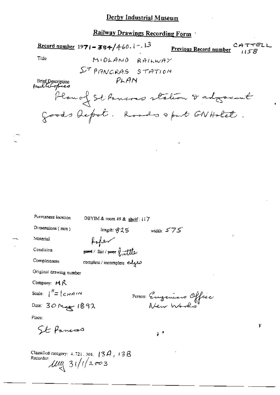#### Derby Industrial Museum

Railway Drawings Recording Form

Record number 1971-384/460.1-13 Previous Record number Tille MIDLAND RAILWAY  $\Sigma^{\tau}$ PANCRAS STATION  $PLAN$ Brief Description<br>Anulticopies Plan of St Pennes station & adgressed Goods Depot. Roads & put GNHolet

Permanent location

DBYIM & room 49 & shelf: 117

length: 825

Dimensions (mm)

Material

Condition

Completeness

foten  $_{\text{good}}$  / fair /  $_{\text{proof}}$   $\int_{\mathcal{A}} f f \, dx$ complete / incomplete edges

Original drawing number

Company: MR

$$
\text{Scale: } \int_0^{H} = \int_{0}^{H} \mathcal{L} H H^{2} H^{2}
$$

Date: 30 May 1892

PUTSOR: Engeneers Office

 $\bar{e}^{-\bar{e}}$ 

r

width:  $575$ 

Place:

St Pancras

Classified category:  $4.721$  ,  $301$ ,  $13A$  ,  $13B$ Recorder:  $\frac{1}{4}$   $\frac{1}{4}$   $\frac{1}{4}$   $\frac{1}{4}$   $\frac{1}{4}$   $\frac{1}{4}$   $\frac{1}{4}$   $\frac{1}{4}$   $\frac{1}{4}$   $\frac{1}{4}$   $\frac{1}{4}$   $\frac{1}{4}$   $\frac{1}{4}$   $\frac{1}{4}$   $\frac{1}{4}$   $\frac{1}{4}$   $\frac{1}{4}$   $\frac{1}{4}$   $\frac{1}{4}$   $\frac{1}{4}$   $\frac{1}{4}$   $\frac{1}{4}$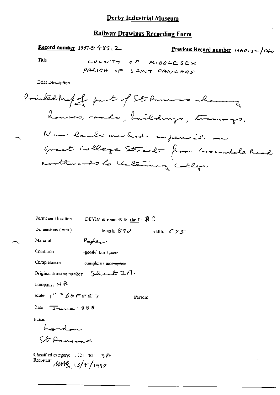### **Derby Industrial Museum**

# **Railway Drawings Recording Form**

Record number 1997-5/485.2

Previous Record number  $MAP(32)/340$ 

Title

**Brief Description** 

| Permanent location                                                            |                | DBYIM & room 49 & shelf: $\mathcal{B}$ O |         |            |
|-------------------------------------------------------------------------------|----------------|------------------------------------------|---------|------------|
| Dimensions (mm)                                                               |                | length: $8.9\,\sigma$                    |         | width: 575 |
| Material                                                                      | سيحكمه         |                                          |         |            |
| Condition                                                                     | good/fair/poor |                                          |         |            |
| Completeness                                                                  |                | complete / incomplete                    |         |            |
| Original drawing number $\sum Q_{\text{model}} \geq A$ .                      |                |                                          |         |            |
| Company: $M R$                                                                |                |                                          |         |            |
| Scale: $1''$ $\frac{3}{5}$ $66$ $\overline{F}$ $\overline{EF}$ $\overline{T}$ |                |                                          | Person: |            |
| Date: $\overline{3}$                                                          |                |                                          |         |            |
| Place:                                                                        |                |                                          |         |            |
| hondon                                                                        |                |                                          |         |            |
| Ct-Dansman                                                                    |                |                                          |         |            |
| Classified category: $4, 721, 301, 13$ $\Theta$                               |                |                                          |         |            |

 $MMS$   $(s/f / 1998)$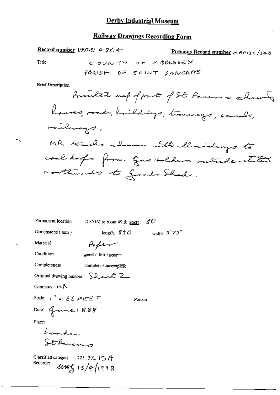Record number 1997-5/ 4-85.4

Previous Record number MRP132/540

Title

COUNTY OF MIDDLESEX PARISH OF SAINT PANCAAS

**Brief Description** 

| Permanent location                                        | DBYIM & room $49$ & shelf :                     | $_{8}$ O     |
|-----------------------------------------------------------|-------------------------------------------------|--------------|
| Dimensions $(mn)$                                         | length: $870$                                   | width: $575$ |
| Material                                                  | Popen                                           |              |
| Condition                                                 | geed / fair / poor-                             |              |
| Completeness                                              | complete / incomplete                           |              |
|                                                           | Original drawing number $\sum_{\alpha}$ $\beta$ |              |
| Company: $M \setminus$                                    |                                                 |              |
| Scale: $1'' = 66$ $\epsilon$ $\epsilon$ $\epsilon$ $\tau$ |                                                 | Person:      |
| Date: Gene (888                                           |                                                 |              |
| Place:                                                    |                                                 |              |
|                                                           |                                                 |              |
| Landon<br>St Paueras                                      |                                                 |              |
| Classified category: 4, 721, 301, $\{3, 6\}$              |                                                 |              |
| Recorder:                                                 | $4445$ 15/4/1998                                |              |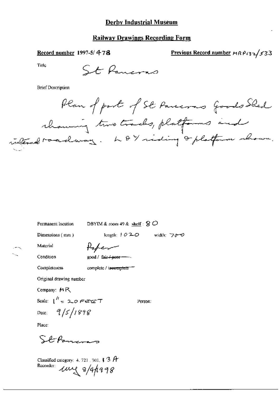#### Derby Industrial Museum

#### **Railway Drawings Recording Form**

Record number 1997-5/478

Previous Record number MRP132/533

Title

St Pancras

**Brief Description** 

Plan of part of St Paucons goods Shed chancing two tracks, platforms and internal roadway. L & Y siding of platform shown.

Permanent location

DBYIM & room 49 & shelf :  $8$   $\circ$ 

Dimensions (mm)

length:  $1020$  width:  $700$ 

Person:

Material Condition Paper good / fair + poer-

Completeness

complete / incomplete

Original drawing number

Company:  $M R$ 

Scale:  $\int_0^h z \cos \theta dz$  $9/5/1898$ Date:

Place:

Stforman

Classified category: 4, 721, 301,  $\uparrow$  3 A Recorder: une 8/4/1998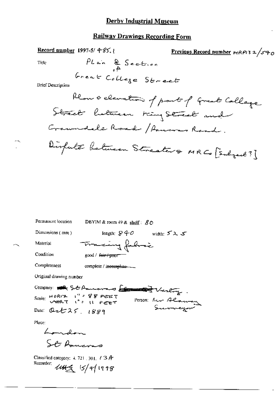| Record number 1997-5/485. | Previous Record number $MRPI32/sq_0$       |
|---------------------------|--------------------------------------------|
| Title                     | PLain & Sec-Etien<br>of                    |
| Great & ColLeg & Streetre |                                            |
| Brist Description         | Remark of the second number of the Gallace |
| Chen & Clematum           | front of the Gallaque                      |
| Chen & A. 0.21            |                                            |

| Permanent location                                                                                                                                                        | DBYIM & room 49 & shelf: $80$  |  |
|---------------------------------------------------------------------------------------------------------------------------------------------------------------------------|--------------------------------|--|
| Dimensions $(mn)$                                                                                                                                                         | length: $840$<br>width: $52.5$ |  |
| Material                                                                                                                                                                  | Tracing fabric                 |  |
| Condition                                                                                                                                                                 | good / fair / poor             |  |
| Completeness                                                                                                                                                              | complete / incomplete-         |  |
| Original drawing number                                                                                                                                                   |                                |  |
| Company: AR St Paulana Entertained Therefore.<br>Scale: $HOR(T = 1) = 999$ PEET<br>Person: Mr Alaman<br>Date: Ort 25, $1889$<br>Place:<br>$\angle$ and then<br>St Annevas |                                |  |
| Classified category: $4.721 \pm 301.$ ( $3\text{A}$ )<br>Recorder:                                                                                                        | $4449$ $15/41998$              |  |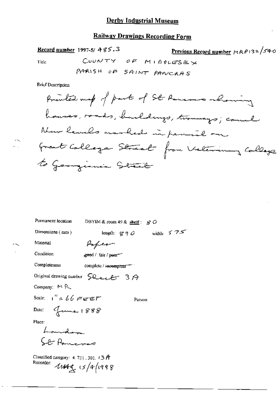Record number 1997-5/  $485.3$ 

Previous Record number 14 R P 13 2 /5 4 0 COONTY OF MIDDLESEX

Title

Q.

**Brief Description** 

| Permanent location                                                              | DBYIM & room 49 & shelf: $\cancel{S}$ O               |
|---------------------------------------------------------------------------------|-------------------------------------------------------|
| Dimensions (mm)                                                                 | width: $575$<br>length: $g \circ \partial$            |
| Material                                                                        | Poper                                                 |
| Condition                                                                       | æeed / fair / peer                                    |
| Completeness                                                                    | complete / incomplete = 1                             |
|                                                                                 | Original drawing number $\text{SQ}_{\text{ex}}$ + 3 A |
| Company: $M R$                                                                  |                                                       |
| Scale: $1'' = 66$ reet                                                          | Person:                                               |
| Date: Grand 1888                                                                |                                                       |
| Place:                                                                          |                                                       |
| Landam                                                                          |                                                       |
| Car Romano                                                                      |                                                       |
| Classified category: $4.721$ , $301$ , $t \geq f$<br>Recorder: 11479, 15/4/1998 |                                                       |
|                                                                                 |                                                       |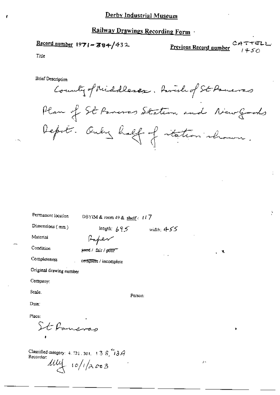## Record number  $1971 - 384/432$

Previous Record number

Title

**Brief Description** 

County of Middlessex, Parade of St. Powers Plan of St Parenas Station and New Goods Deput. Only half of intestion shown.

width:  $455$ 

g.

Permanent focation

DBYIM & room 49 & shelf:  $117$ 

Dimensions (mm)

length:  $695$ 

Material

Faper geed / fair / poor

Condition

Completeness complete / incomplete

Original drawing number

Company:

Scale.

Person:

Dute:

Place:

St Paneras

Classified category:  $4, 721, 301, 13, 8, 73, 74$ Recorder:

 $\frac{1}{4}$  10/1/2003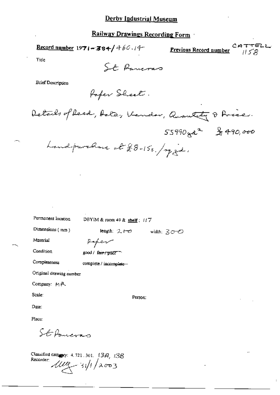Record number 1971-384/460.14

Previous Record number

Title

St Paneras

**Brief Description** 

Paper Sheet.

Details of Reed, Acto, Vendor, Quantity & Price.  $55990$  yer<sup>2</sup>  $\frac{8}{5}$  490,000

Landpurchase at £8-15s. / my gd.

Permanent location

DBYIM & room 49 & shelf: 117

Dimensions (mm)

length: 200 width: 300

Material

Condition

Completeness

good / fair / poor

complete / incomplete-

Peper

Original drawing number

Company: MR

Scale:

Person:

Date:

Place:

StePaneran

Classified category: 4.721.301. (3A, 13B Recorder:  $\frac{1}{4}$  31/1/2003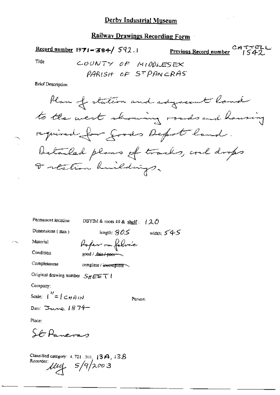Record number 1971-384/ 592.1

CATTEL<br>Previous Record number 1542

Title

COUNTY OF MIDDLESEX PARISH OF STPANCRAS

**Brief Description** 



width:  $545$ 

Permanent location

DBYIM & room 49 & shelf:  $120$ 

Person:

length:  $805$ 

Dimensions (mm)

Material

*Poper* on foloce good / fair / poor-

complete / ineomplete

Original drawing number  $S_H \boxplus \boxdot \top$ 

Company:

Condition

Completeness

Scale:  $\int_{0}^{\infty} f c_{H} \rho_{H}$ 

Date:  $\text{True}$  1874

Place:

St Paneras

Classified category: 4, 721, 301, 13 A, 13 B Recorder:  $\mu$ ug  $5/9/2003$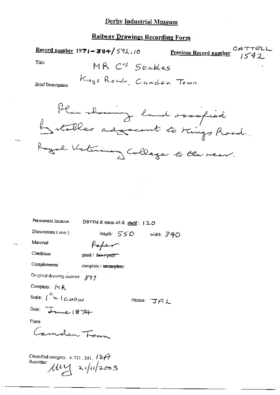Record number 1971-384/592.10 Previous Record number Title MR Ces Stables Kings Road, Canden Town **Brief Description** Plan showing land occupied by stables adjacent to Kings Road. Permanent Iocation DBYIM & room 49 & shelf :  $120$ Dimensions (mm) length: 550 width: 340 Material Poper Condition good / fair+poor Completeness complete / incomplete Original drawing number 897 Company: MR Scale:  $\int_{0}^{t_1} = \int_{0}^{t_2} \mathcal{L} \mathcal{H} H \mathcal{H}$ Person: JAL Date: True 1874 Place: Camden Tran Classified category:  $4.721, 301, 137$ Rucorder Muy 2/11/2003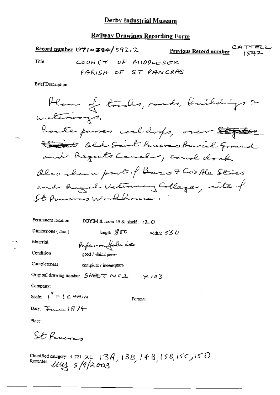$\frac{\text{Record number}}{1971 - 384}$  592.2 Previous Record number COUNTY OF MIDDLESEX Tiue PARISH OF ST PANCRAS

**Brief Description** 

Permanent location DBYIM & room 49 & shelf  $\cdot$  +2.0 Dimensions  $(mn)$ length:  $\mathcal{G}\mathbb{C}^\bullet$ width:  $550$ Material Paperonfoloce Condition good / fair / peer-Completeness complete / incomplete

Original drawing number  $SHEET \sim 0.2$   $\times 10.3$ 

Company:

Scale:  $\mu'' = (\angle H A)N$ 

Date: June 1874

Place:

St Romans

Classified category: 4.721.301. 13A, 13B, 14B, 15B, 15C, 15C)<br>Recorder: UUL 5/9/2003

Регуол: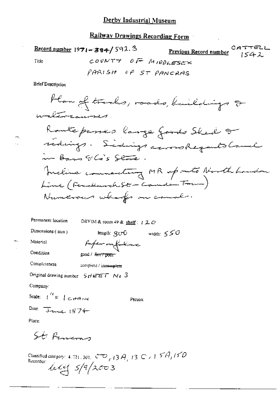Record number  $1971 - 384 / 592.3$ Previous Record number COUNTY OF MIDDLESEX Title PARISH OF ST PANCAAS

**Brief Description** 

Han of tracks, roads, buildings & withmannes. Ranteskomer la marcania 50, 0,0

Permanent location DBYIM & room 49 & shelf:  $120$ 

Dimensions (mm)

Material

Condition

Paper on falsac good / fair / poor

Completeness compiete / ineemplete

Original drawing number  $5HETET$  Ne 3

Company:

Scale:  $\int_0^L = \int_C dA$ 

Person:

length:  $gcr0$  width:  $550$ 

Date: James  $1874$ 

Place:

St. Penema

Classified category: 4, 721, 301,  $\sqrt[3]{\omega}$   $\sim$   $\sqrt{3}$   $A$  , 13  $\sqrt[3]{\omega}$  , 15  $\sqrt[3]{A}$  , 15  $D$ Recorder:  $444$   $5/9/2003$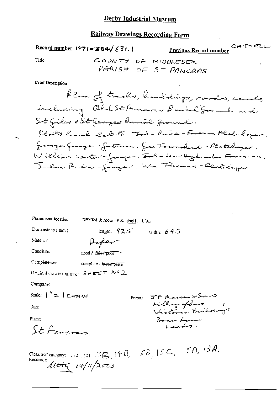Record number  $1971 - 384 / 631.$ 

Previous Record number<br>Previous Record number

Title

 $\cdot$   $\cdot$ 

**Brief Description** 

| Permanent location                                                                          | DBYIM & room 49 & shelf: $(2)$ |                                                                             |
|---------------------------------------------------------------------------------------------|--------------------------------|-----------------------------------------------------------------------------|
| Dimensions (mm)                                                                             | length: $925$                  | width: $645$                                                                |
| Material                                                                                    | Hofer                          |                                                                             |
| Condition                                                                                   | good / fair+poor⊤              |                                                                             |
| Completeness                                                                                | complete / incomplete"         |                                                                             |
| Original detaing number $S \# \mathsf{E} \in \mathbb{F}$ , $\mathcal{N}^{\mathsf{c}}$ , $2$ |                                |                                                                             |
| Company:                                                                                    |                                |                                                                             |
| Scale: $\binom{7}{5}$ $\binom{1}{1}$ $\binom{1}{1}$                                         | Person:                        | JF Massen & Sono                                                            |
| Date:                                                                                       |                                | Litteryreflung ;<br>Victoria Building                                       |
| Place:                                                                                      |                                | Bear Low                                                                    |
| St. Fancras.                                                                                |                                | المستعبين                                                                   |
| Recorder:                                                                                   | $11445$ 14/11/2003             | Classified category: 4, 721, 301, $(3g, 14B, 15B, 15C, 15D, 13A,$ Recorder: |